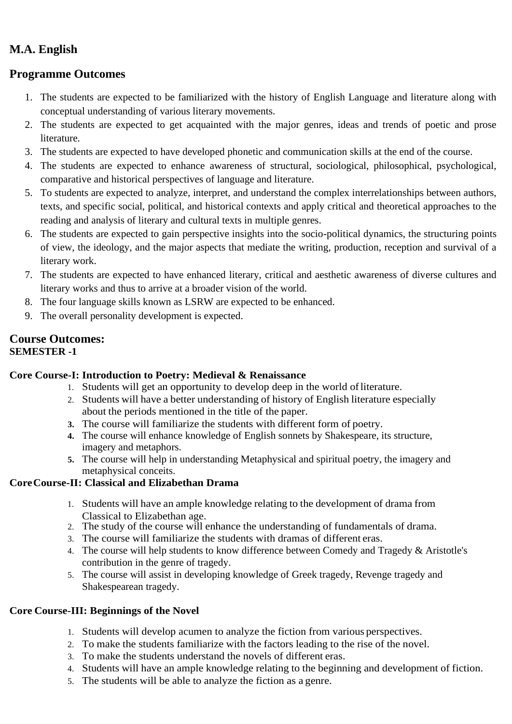# **M.A. English**

## **Programme Outcomes**

- 1. The students are expected to be familiarized with the history of English Language and literature along with conceptual understanding of various literary movements.
- 2. The students are expected to get acquainted with the major genres, ideas and trends of poetic and prose literature.
- 3. The students are expected to have developed phonetic and communication skills at the end of the course.
- 4. The students are expected to enhance awareness of structural, sociological, philosophical, psychological, comparative and historical perspectives of language and literature.
- 5. To students are expected to analyze, interpret, and understand the complex interrelationships between authors, texts, and specific social, political, and historical contexts and apply critical and theoretical approaches to the reading and analysis of literary and cultural texts in multiple genres.
- 6. The students are expected to gain perspective insights into the socio-political dynamics, the structuring points of view, the ideology, and the major aspects that mediate the writing, production, reception and survival of a literary work.
- 7. The students are expected to have enhanced literary, critical and aesthetic awareness of diverse cultures and literary works and thus to arrive at a broader vision of the world.
- 8. The four language skills known as LSRW are expected to be enhanced.
- 9. The overall personality development is expected.

## **Course Outcomes: SEMESTER -1**

### **Core Course-I: Introduction to Poetry: Medieval & Renaissance**

- 1. Students will get an opportunity to develop deep in the world ofliterature.
- 2. Students will have a better understanding of history of English literature especially about the periods mentioned in the title of the paper.
- **3.** The course will familiarize the students with different form of poetry.
- **4.** The course will enhance knowledge of English sonnets by Shakespeare, its structure, imagery and metaphors.
- **5.** The course will help in understanding Metaphysical and spiritual poetry, the imagery and metaphysical conceits.

### **CoreCourse-II: Classical and Elizabethan Drama**

- 1. Students will have an ample knowledge relating to the development of drama from Classical to Elizabethan age.
- 2. The study of the course will enhance the understanding of fundamentals of drama.
- 3. The course will familiarize the students with dramas of different eras.
- 4. The course will help students to know difference between Comedy and Tragedy & Aristotle's contribution in the genre of tragedy.
- 5. The course will assist in developing knowledge of Greek tragedy, Revenge tragedy and Shakespearean tragedy.

### **Core Course-III: Beginnings of the Novel**

- 1. Students will develop acumen to analyze the fiction from various perspectives.
- 2. To make the students familiarize with the factors leading to the rise of the novel.
- 3. To make the students understand the novels of different eras.
- 4. Students will have an ample knowledge relating to the beginning and development of fiction.
- 5. The students will be able to analyze the fiction as a genre.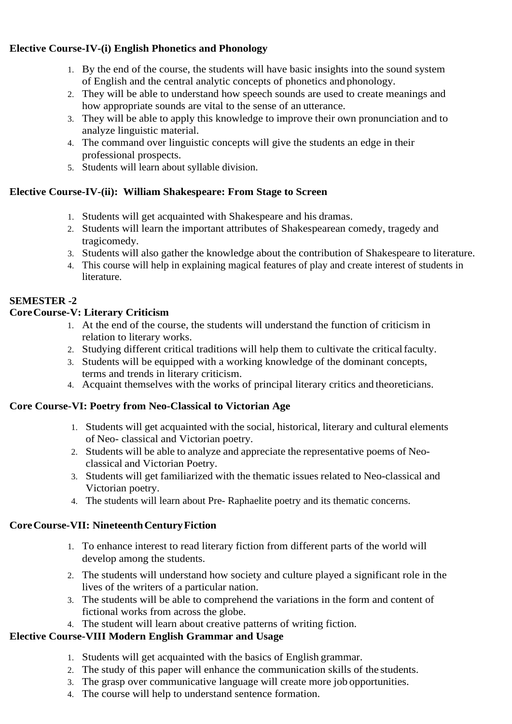## **Elective Course-IV-(i) English Phonetics and Phonology**

- 1. By the end of the course, the students will have basic insights into the sound system of English and the central analytic concepts of phonetics and phonology.
- 2. They will be able to understand how speech sounds are used to create meanings and how appropriate sounds are vital to the sense of an utterance.
- 3. They will be able to apply this knowledge to improve their own pronunciation and to analyze linguistic material.
- 4. The command over linguistic concepts will give the students an edge in their professional prospects.
- 5. Students will learn about syllable division.

## **Elective Course-IV-(ii): William Shakespeare: From Stage to Screen**

- 1. Students will get acquainted with Shakespeare and his dramas.
- 2. Students will learn the important attributes of Shakespearean comedy, tragedy and tragicomedy.
- 3. Students will also gather the knowledge about the contribution of Shakespeare to literature.
- 4. This course will help in explaining magical features of play and create interest of students in literature.

# **SEMESTER -2**

## **CoreCourse-V: Literary Criticism**

- 1. At the end of the course, the students will understand the function of criticism in relation to literary works.
- 2. Studying different critical traditions will help them to cultivate the criticalfaculty.
- 3. Students will be equipped with a working knowledge of the dominant concepts, terms and trends in literary criticism.
- 4. Acquaint themselves with the works of principal literary critics and theoreticians.

### **Core Course-VI: Poetry from Neo-Classical to Victorian Age**

- 1. Students will get acquainted with the social, historical, literary and cultural elements of Neo- classical and Victorian poetry.
- 2. Students will be able to analyze and appreciate the representative poems of Neoclassical and Victorian Poetry.
- 3. Students will get familiarized with the thematic issues related to Neo-classical and Victorian poetry.
- 4. The students will learn about Pre- Raphaelite poetry and its thematic concerns.

## **CoreCourse-VII: NineteenthCenturyFiction**

- 1. To enhance interest to read literary fiction from different parts of the world will develop among the students.
- 2. The students will understand how society and culture played a significant role in the lives of the writers of a particular nation.
- 3. The students will be able to comprehend the variations in the form and content of fictional works from across the globe.
- 4. The student will learn about creative patterns of writing fiction.

## **Elective Course-VIII Modern English Grammar and Usage**

- 1. Students will get acquainted with the basics of English grammar.
- 2. The study of this paper will enhance the communication skills of the students.
- 3. The grasp over communicative language will create more job opportunities.
- 4. The course will help to understand sentence formation.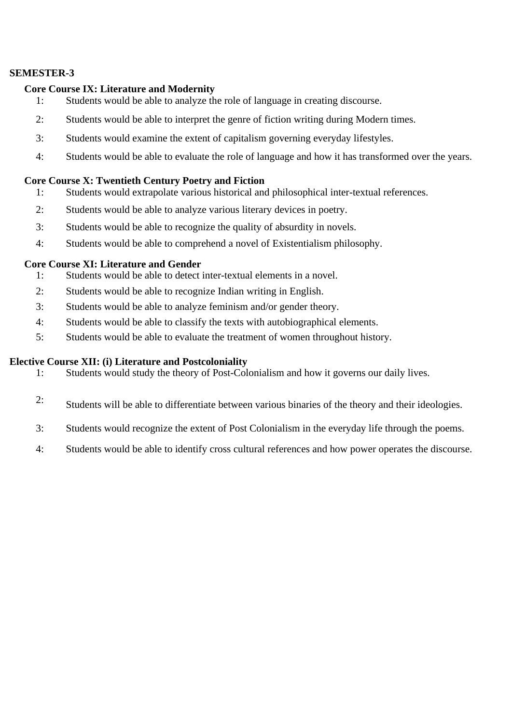#### **SEMESTER-3**

#### **Core Course IX: Literature and Modernity**

- 1: Students would be able to analyze the role of language in creating discourse.
- 2: Students would be able to interpret the genre of fiction writing during Modern times.
- 3: Students would examine the extent of capitalism governing everyday lifestyles.
- 4: Students would be able to evaluate the role of language and how it has transformed over the years.

#### **Core Course X: Twentieth Century Poetry and Fiction**

- 1: Students would extrapolate various historical and philosophical inter-textual references.
- 2: Students would be able to analyze various literary devices in poetry.
- 3: Students would be able to recognize the quality of absurdity in novels.
- 4: Students would be able to comprehend a novel of Existentialism philosophy.

#### **Core Course XI: Literature and Gender**

- 1: Students would be able to detect inter-textual elements in a novel.
- 2: Students would be able to recognize Indian writing in English.
- 3: Students would be able to analyze feminism and/or gender theory.
- 4: Students would be able to classify the texts with autobiographical elements.
- 5: Students would be able to evaluate the treatment of women throughout history.

#### **Elective Course XII: (i) Literature and Postcoloniality**

- 1: Students would study the theory of Post-Colonialism and how it governs our daily lives.
- 2: Students will be able to differentiate between various binaries of the theory and their ideologies.
- 3: Students would recognize the extent of Post Colonialism in the everyday life through the poems.
- 4: Students would be able to identify cross cultural references and how power operates the discourse.